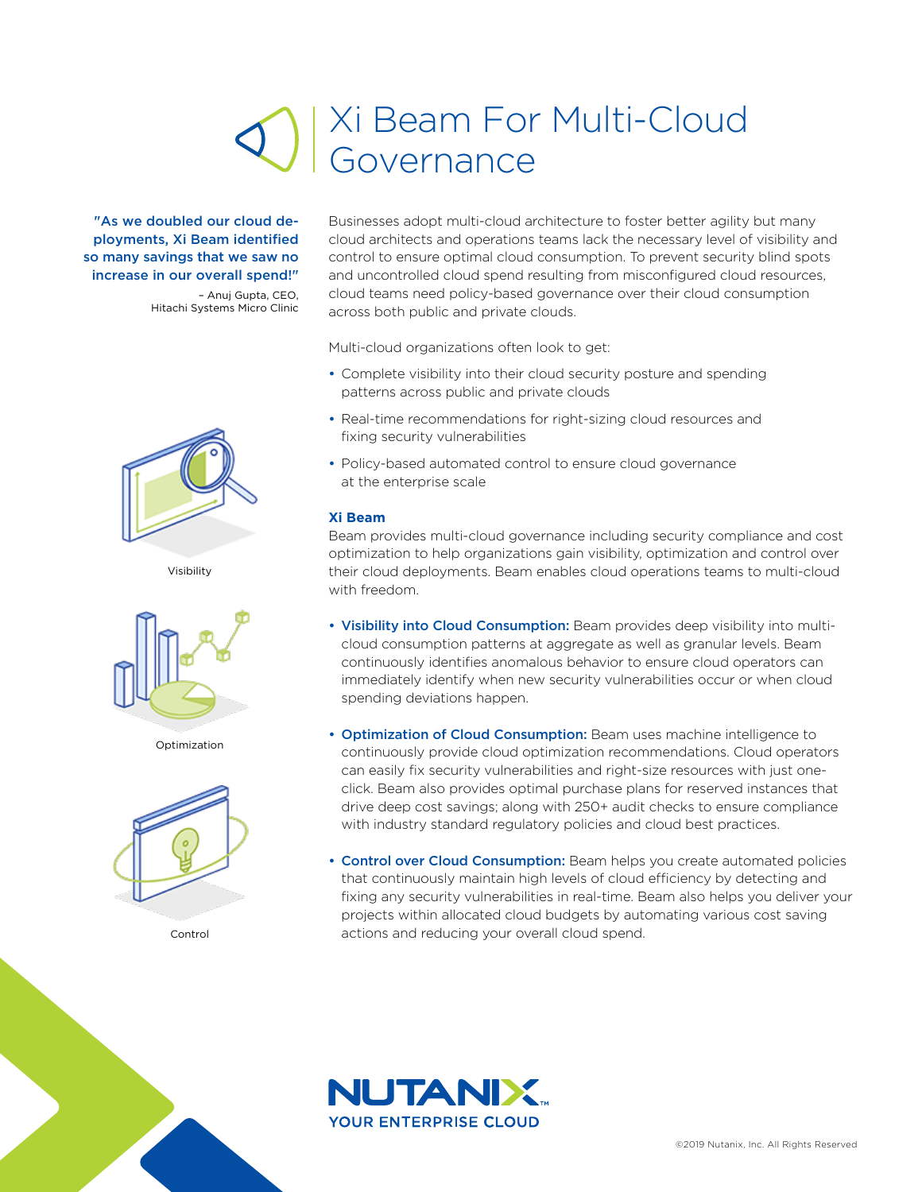## Xi Beam For Multi-Cloud Governance

"As we doubled our cloud deployments, Xi Beam identified so many savings that we saw no increase in our overall spend!"

– Anuj Gupta, CEO, Hitachi Systems Micro Clinic



Visibility



Optimization



Control

Businesses adopt multi-cloud architecture to foster better agility but many cloud architects and operations teams lack the necessary level of visibility and control to ensure optimal cloud consumption. To prevent security blind spots and uncontrolled cloud spend resulting from misconfigured cloud resources, cloud teams need policy-based governance over their cloud consumption across both public and private clouds.

Multi-cloud organizations often look to get:

- Complete visibility into their cloud security posture and spending patterns across public and private clouds
- Real-time recommendations for right-sizing cloud resources and fixing security vulnerabilities
- Policy-based automated control to ensure cloud governance at the enterprise scale

## **Xi Beam**

Beam provides multi-cloud governance including security compliance and cost optimization to help organizations gain visibility, optimization and control over their cloud deployments. Beam enables cloud operations teams to multi-cloud with freedom.

- Visibility into Cloud Consumption: Beam provides deep visibility into multicloud consumption patterns at aggregate as well as granular levels. Beam continuously identifies anomalous behavior to ensure cloud operators can immediately identify when new security vulnerabilities occur or when cloud spending deviations happen.
- Optimization of Cloud Consumption: Beam uses machine intelligence to continuously provide cloud optimization recommendations. Cloud operators can easily fix security vulnerabilities and right-size resources with just oneclick. Beam also provides optimal purchase plans for reserved instances that drive deep cost savings; along with 250+ audit checks to ensure compliance with industry standard regulatory policies and cloud best practices.
- **Control over Cloud Consumption:** Beam helps you create automated policies that continuously maintain high levels of cloud efficiency by detecting and fixing any security vulnerabilities in real-time. Beam also helps you deliver your projects within allocated cloud budgets by automating various cost saving actions and reducing your overall cloud spend.